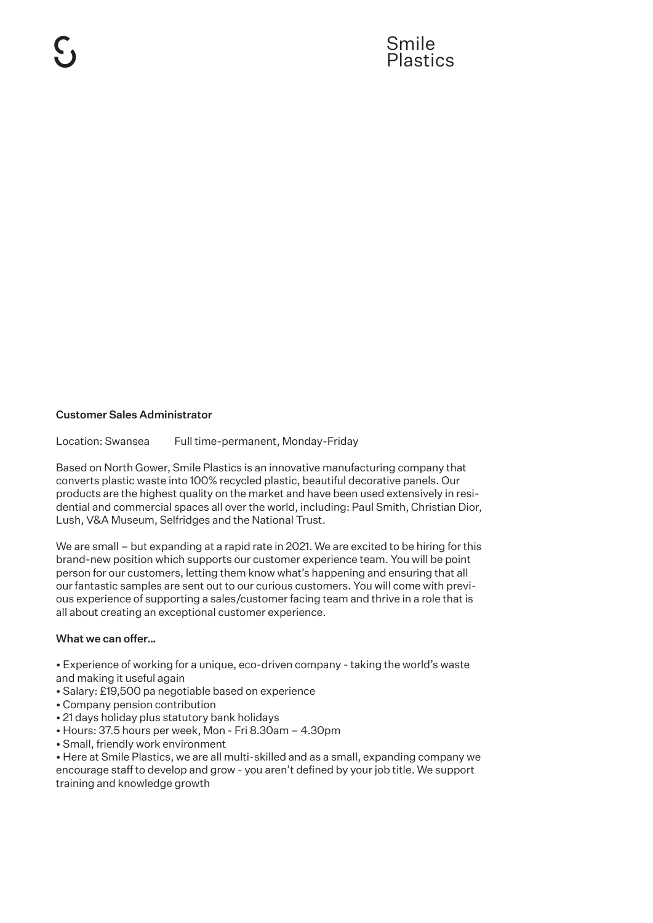# Customer Sales Administrator

Location: Swansea Full time-permanent, Monday-Friday

Based on North Gower, Smile Plastics is an innovative manufacturing company that converts plastic waste into 100% recycled plastic, beautiful decorative panels. Our products are the highest quality on the market and have been used extensively in residential and commercial spaces all over the world, including: Paul Smith, Christian Dior, Lush, V&A Museum, Selfridges and the National Trust.

We are small – but expanding at a rapid rate in 2021. We are excited to be hiring for this brand-new position which supports our customer experience team. You will be point person for our customers, letting them know what's happening and ensuring that all our fantastic samples are sent out to our curious customers. You will come with previous experience of supporting a sales/customer facing team and thrive in a role that is all about creating an exceptional customer experience.

#### What we can offer…

• Experience of working for a unique, eco-driven company - taking the world's waste and making it useful again

- Salary: £19,500 pa negotiable based on experience
- Company pension contribution
- 21 days holiday plus statutory bank holidays
- Hours: 37.5 hours per week, Mon Fri 8.30am 4.30pm
- Small, friendly work environment

• Here at Smile Plastics, we are all multi-skilled and as a small, expanding company we encourage staff to develop and grow - you aren't defined by your job title. We support training and knowledge growth